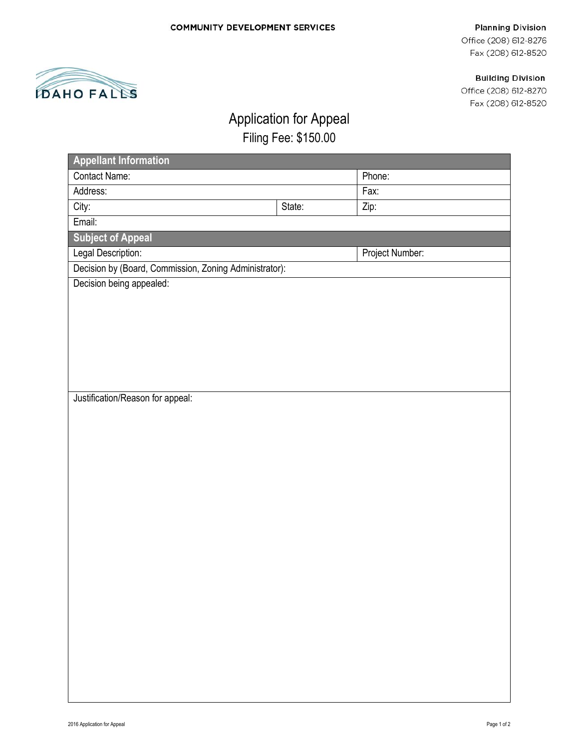#### **Planning Division**

Office (208) 612-8276 Fax (208) 612-8520

## **Building Division**

Office (208) 612-8270 Fax (208) 612-8520



# Application for Appeal

Filing Fee: \$150.00

| <b>Appellant Information</b>                           |        |                 |
|--------------------------------------------------------|--------|-----------------|
| Contact Name:                                          |        | Phone:          |
| Address:                                               |        | Fax:            |
| City:                                                  | State: | Zip:            |
| Email:                                                 |        |                 |
| <b>Subject of Appeal</b>                               |        |                 |
| Legal Description:                                     |        | Project Number: |
| Decision by (Board, Commission, Zoning Administrator): |        |                 |
| Decision being appealed:                               |        |                 |
|                                                        |        |                 |
|                                                        |        |                 |
|                                                        |        |                 |
|                                                        |        |                 |
|                                                        |        |                 |
|                                                        |        |                 |
| Justification/Reason for appeal:                       |        |                 |
|                                                        |        |                 |
|                                                        |        |                 |
|                                                        |        |                 |
|                                                        |        |                 |
|                                                        |        |                 |
|                                                        |        |                 |
|                                                        |        |                 |
|                                                        |        |                 |
|                                                        |        |                 |
|                                                        |        |                 |
|                                                        |        |                 |
|                                                        |        |                 |
|                                                        |        |                 |
|                                                        |        |                 |
|                                                        |        |                 |
|                                                        |        |                 |
|                                                        |        |                 |
|                                                        |        |                 |
|                                                        |        |                 |
|                                                        |        |                 |